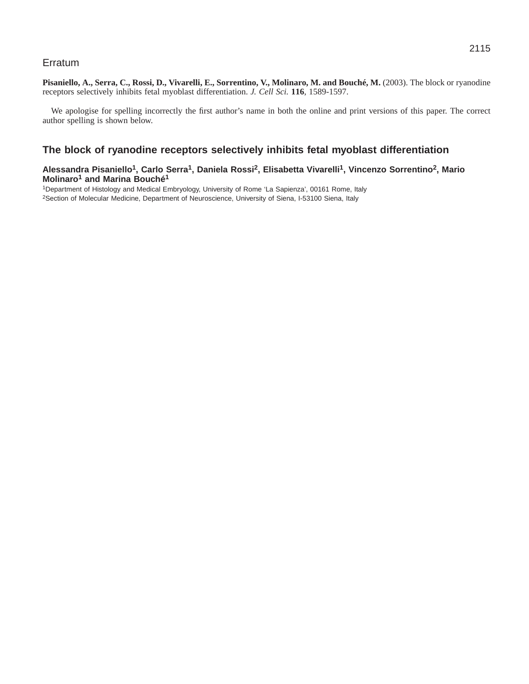## Erratum

**Pisaniello, A., Serra, C., Rossi, D., Vivarelli, E., Sorrentino, V., Molinaro, M. and Bouché, M.** (2003). The block or ryanodine receptors selectively inhibits fetal myoblast differentiation. *J. Cell Sci.* **116**, 1589-1597.

We apologise for spelling incorrectly the first author's name in both the online and print versions of this paper. The correct author spelling is shown below.

# **The block of ryanodine receptors selectively inhibits fetal myoblast differentiation**

**Alessandra Pisaniello1, Carlo Serra1, Daniela Rossi2, Elisabetta Vivarelli1, Vincenzo Sorrentino2, Mario Molinaro1 and Marina Bouché1**

1Department of Histology and Medical Embryology, University of Rome 'La Sapienza', 00161 Rome, Italy 2Section of Molecular Medicine, Department of Neuroscience, University of Siena, I-53100 Siena, Italy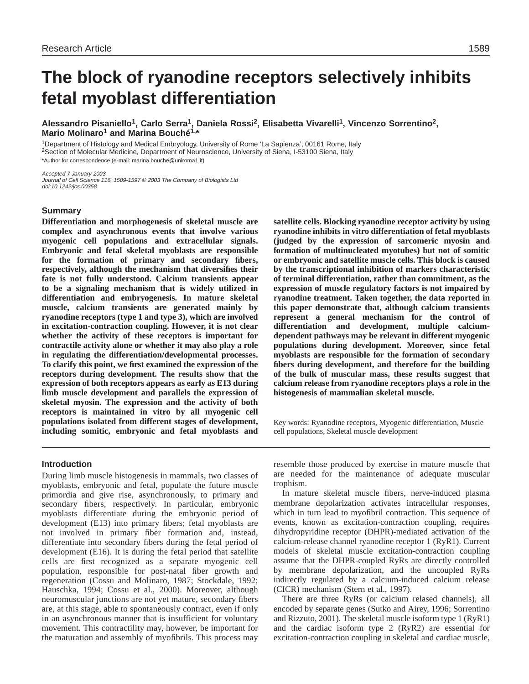# **The block of ryanodine receptors selectively inhibits fetal myoblast differentiation**

**Alessandro Pisaniello1, Carlo Serra1, Daniela Rossi2, Elisabetta Vivarelli1, Vincenzo Sorrentino2, Mario Molinaro1 and Marina Bouché1,\***

1Department of Histology and Medical Embryology, University of Rome 'La Sapienza', 00161 Rome, Italy 2Section of Molecular Medicine, Department of Neuroscience, University of Siena, I-53100 Siena, Italy \*Author for correspondence (e-mail: marina.bouche@uniroma1.it)

Accepted 7 January 2003 Journal of Cell Science 116, 1589-1597 © 2003 The Company of Biologists Ltd doi:10.1242/jcs.00358

## **Summary**

**Differentiation and morphogenesis of skeletal muscle are complex and asynchronous events that involve various myogenic cell populations and extracellular signals. Embryonic and fetal skeletal myoblasts are responsible for the formation of primary and secondary fibers, respectively, although the mechanism that diversifies their fate is not fully understood. Calcium transients appear to be a signaling mechanism that is widely utilized in differentiation and embryogenesis. In mature skeletal muscle, calcium transients are generated mainly by ryanodine receptors (type 1 and type 3), which are involved in excitation-contraction coupling. However, it is not clear whether the activity of these receptors is important for contractile activity alone or whether it may also play a role in regulating the differentiation/developmental processes. To clarify this point, we first examined the expression of the receptors during development. The results show that the expression of both receptors appears as early as E13 during limb muscle development and parallels the expression of skeletal myosin. The expression and the activity of both receptors is maintained in vitro by all myogenic cell populations isolated from different stages of development, including somitic, embryonic and fetal myoblasts and** **satellite cells. Blocking ryanodine receptor activity by using ryanodine inhibits in vitro differentiation of fetal myoblasts (judged by the expression of sarcomeric myosin and formation of multinucleated myotubes) but not of somitic or embryonic and satellite muscle cells. This block is caused by the transcriptional inhibition of markers characteristic of terminal differentiation, rather than commitment, as the expression of muscle regulatory factors is not impaired by ryanodine treatment. Taken together, the data reported in this paper demonstrate that, although calcium transients represent a general mechanism for the control of differentiation and development, multiple calciumdependent pathways may be relevant in different myogenic populations during development. Moreover, since fetal myoblasts are responsible for the formation of secondary fibers during development, and therefore for the building of the bulk of muscular mass, these results suggest that calcium release from ryanodine receptors plays a role in the histogenesis of mammalian skeletal muscle.** 

Key words: Ryanodine receptors, Myogenic differentiation, Muscle cell populations, Skeletal muscle development

#### **Introduction**

During limb muscle histogenesis in mammals, two classes of myoblasts, embryonic and fetal, populate the future muscle primordia and give rise, asynchronously, to primary and secondary fibers, respectively. In particular, embryonic myoblasts differentiate during the embryonic period of development (E13) into primary fibers; fetal myoblasts are not involved in primary fiber formation and, instead, differentiate into secondary fibers during the fetal period of development (E16). It is during the fetal period that satellite cells are first recognized as a separate myogenic cell population, responsible for post-natal fiber growth and regeneration (Cossu and Molinaro, 1987; Stockdale, 1992; Hauschka, 1994; Cossu et al., 2000). Moreover, although neuromuscular junctions are not yet mature, secondary fibers are, at this stage, able to spontaneously contract, even if only in an asynchronous manner that is insufficient for voluntary movement. This contractility may, however, be important for the maturation and assembly of myofibrils. This process may

resemble those produced by exercise in mature muscle that are needed for the maintenance of adequate muscular trophism.

In mature skeletal muscle fibers, nerve-induced plasma membrane depolarization activates intracellular responses, which in turn lead to myofibril contraction. This sequence of events, known as excitation-contraction coupling, requires dihydropyridine receptor (DHPR)-mediated activation of the calcium-release channel ryanodine receptor 1 (RyR1). Current models of skeletal muscle excitation-contraction coupling assume that the DHPR-coupled RyRs are directly controlled by membrane depolarization, and the uncoupled RyRs indirectly regulated by a calcium-induced calcium release (CICR) mechanism (Stern et al., 1997).

There are three RyRs (or calcium relased channels), all encoded by separate genes (Sutko and Airey, 1996; Sorrentino and Rizzuto, 2001). The skeletal muscle isoform type 1 (RyR1) and the cardiac isoform type 2 (RyR2) are essential for excitation-contraction coupling in skeletal and cardiac muscle,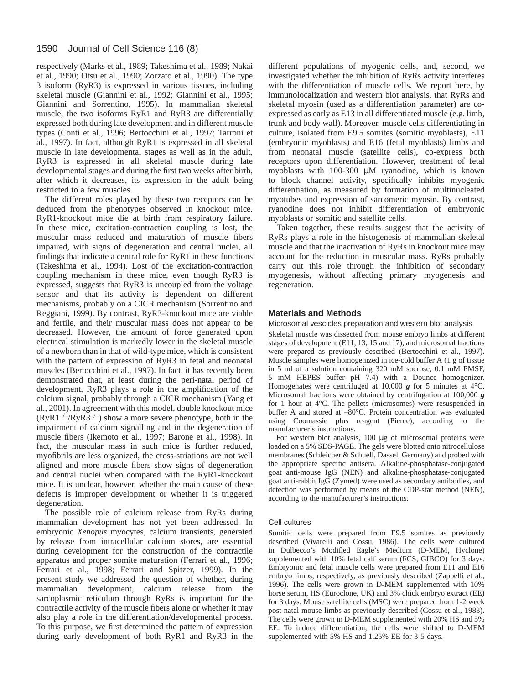#### 1590 Journal of Cell Science 116 (8)

respectively (Marks et al., 1989; Takeshima et al., 1989; Nakai et al., 1990; Otsu et al., 1990; Zorzato et al., 1990). The type 3 isoform (RyR3) is expressed in various tissues, including skeletal muscle (Giannini et al., 1992; Giannini et al., 1995; Giannini and Sorrentino, 1995). In mammalian skeletal muscle, the two isoforms RyR1 and RyR3 are differentially expressed both during late development and in different muscle types (Conti et al., 1996; Bertocchini et al., 1997; Tarroni et al., 1997). In fact, although RyR1 is expressed in all skeletal muscle in late developmental stages as well as in the adult, RyR3 is expressed in all skeletal muscle during late developmental stages and during the first two weeks after birth, after which it decreases, its expression in the adult being restricted to a few muscles.

The different roles played by these two receptors can be deduced from the phenotypes observed in knockout mice. RyR1-knockout mice die at birth from respiratory failure. In these mice, excitation-contraction coupling is lost, the muscular mass reduced and maturation of muscle fibers impaired, with signs of degeneration and central nuclei, all findings that indicate a central role for RyR1 in these functions (Takeshima et al., 1994). Lost of the excitation-contraction coupling mechanism in these mice, even though RyR3 is expressed, suggests that RyR3 is uncoupled from the voltage sensor and that its activity is dependent on different mechanisms, probably on a CICR mechanism (Sorrentino and Reggiani, 1999). By contrast, RyR3-knockout mice are viable and fertile, and their muscular mass does not appear to be decreased. However, the amount of force generated upon electrical stimulation is markedly lower in the skeletal muscle of a newborn than in that of wild-type mice, which is consistent with the pattern of expression of RyR3 in fetal and neonatal muscles (Bertocchini et al., 1997). In fact, it has recently been demonstrated that, at least during the peri-natal period of development, RyR3 plays a role in the amplification of the calcium signal, probably through a CICR mechanism (Yang et al., 2001). In agreement with this model, double knockout mice  $(RyR1^{-/-}/RyR3^{-/-})$  show a more severe phenotype, both in the impairment of calcium signalling and in the degeneration of muscle fibers (Ikemoto et al., 1997; Barone et al., 1998). In fact, the muscular mass in such mice is further reduced, myofibrils are less organized, the cross-striations are not well aligned and more muscle fibers show signs of degeneration and central nuclei when compared with the RyR1-knockout mice. It is unclear, however, whether the main cause of these defects is improper development or whether it is triggered degeneration.

The possible role of calcium release from RyRs during mammalian development has not yet been addressed. In embryonic *Xenopus* myocytes, calcium transients, generated by release from intracellular calcium stores, are essential during development for the construction of the contractile apparatus and proper somite maturation (Ferrari et al., 1996; Ferrari et al., 1998; Ferrari and Spitzer, 1999). In the present study we addressed the question of whether, during mammalian development, calcium release from the sarcoplasmic reticulum through RyRs is important for the contractile activity of the muscle fibers alone or whether it may also play a role in the differentiation/developmental process. To this purpose, we first determined the pattern of expression during early development of both RyR1 and RyR3 in the different populations of myogenic cells, and, second, we investigated whether the inhibition of RyRs activity interferes with the differentiation of muscle cells. We report here, by immunolocalization and western blot analysis, that RyRs and skeletal myosin (used as a differentiation parameter) are coexpressed as early as E13 in all differentiated muscle (e.g. limb, trunk and body wall). Moreover, muscle cells differentiating in culture, isolated from E9.5 somites (somitic myoblasts), E11 (embryonic myoblasts) and E16 (fetal myoblasts) limbs and from neonatal muscle (satellite cells), co-express both receptors upon differentiation. However, treatment of fetal myoblasts with 100-300 µM ryanodine, which is known to block channel activity, specifically inhibits myogenic differentiation, as measured by formation of multinucleated myotubes and expression of sarcomeric myosin. By contrast, ryanodine does not inhibit differentiation of embryonic myoblasts or somitic and satellite cells.

Taken together, these results suggest that the activity of RyRs plays a role in the histogenesis of mammalian skeletal muscle and that the inactivation of RyRs in knockout mice may account for the reduction in muscular mass. RyRs probably carry out this role through the inhibition of secondary myogenesis, without affecting primary myogenesis and regeneration.

## **Materials and Methods**

#### Microsomal vescicles preparation and western blot analysis

Skeletal muscle was dissected from mouse embryo limbs at different stages of development (E11, 13, 15 and 17), and microsomal fractions were prepared as previously described (Bertocchini et al., 1997). Muscle samples were homogenized in ice-cold buffer A (1 g of tissue in 5 ml of a solution containing 320 mM sucrose, 0.1 mM PMSF, 5 mM HEPES buffer pH 7.4) with a Dounce homogenizer. Homogenates were centrifuged at 10,000 *g* for 5 minutes at 4°C. Microsomal fractions were obtained by centrifugation at 100,000 *g* for 1 hour at 4°C. The pellets (microsomes) were resuspended in buffer A and stored at –80°C. Protein concentration was evaluated using Coomassie plus reagent (Pierce), according to the manufacturer's instructions.

For western blot analysis, 100 µg of microsomal proteins were loaded on a 5% SDS-PAGE. The gels were blotted onto nitrocellulose membranes (Schleicher & Schuell, Dassel, Germany) and probed with the appropriate specific antisera. Alkaline-phosphatase-conjugated goat anti-mouse IgG (NEN) and alkaline-phosphatase-conjugated goat anti-rabbit IgG (Zymed) were used as secondary antibodies, and detection was performed by means of the CDP-star method (NEN), according to the manufacturer's instructions.

#### Cell cultures

Somitic cells were prepared from E9.5 somites as previously described (Vivarelli and Cossu, 1986). The cells were cultured in Dulbecco's Modified Eagle's Medium (D-MEM, Hyclone) supplemented with 10% fetal calf serum (FCS, GIBCO) for 3 days. Embryonic and fetal muscle cells were prepared from E11 and E16 embryo limbs, respectively, as previously described (Zappelli et al., 1996). The cells were grown in D-MEM supplemented with 10% horse serum, HS (Euroclone, UK) and 3% chick embryo extract (EE) for 3 days. Mouse satellite cells (MSC) were prepared from 1-2 week post-natal mouse limbs as previously described (Cossu et al., 1983). The cells were grown in D-MEM supplemented with 20% HS and 5% EE. To induce differentiation, the cells were shifted to D-MEM supplemented with 5% HS and 1.25% EE for 3-5 days.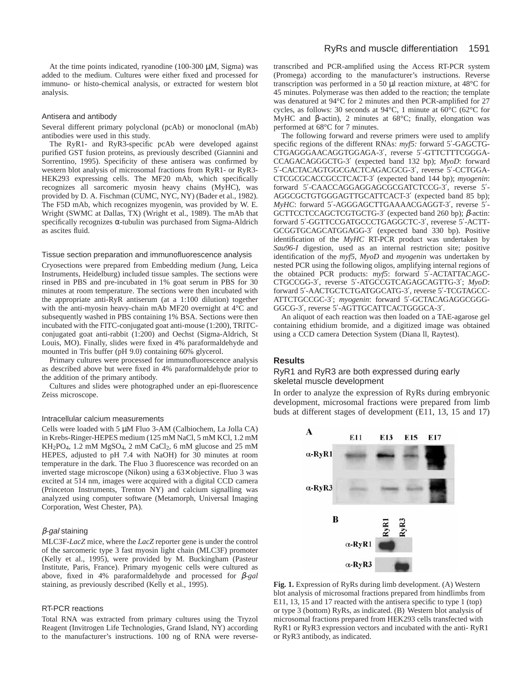At the time points indicated, ryanodine (100-300 µM, Sigma) was added to the medium. Cultures were either fixed and processed for immuno- or histo-chemical analysis, or extracted for western blot analysis.

#### Antisera and antibody

Several different primary polyclonal (pcAb) or monoclonal (mAb) antibodies were used in this study.

The RyR1- and RyR3-specific pcAb were developed against purified GST fusion proteins, as previously described (Giannini and Sorrentino, 1995). Specificity of these antisera was confirmed by western blot analysis of microsomal fractions from RyR1- or RyR3- HEK293 expressing cells. The MF20 mAb, which specifically recognizes all sarcomeric myosin heavy chains (MyHC), was provided by D. A. Fischman (CUMC, NYC, NY) (Bader et al., 1982). The F5D mAb, which recognizes myogenin, was provided by W. E. Wright (SWMC at Dallas, TX) (Wright et al., 1989). The mAb that specifically recognizes α-tubulin was purchased from Sigma-Aldrich as ascites fluid.

#### Tissue section preparation and immunofluorescence analysis

Cryosections were prepared from Embedding medium (Jung, Leica Instruments, Heidelburg) included tissue samples. The sections were rinsed in PBS and pre-incubated in 1% goat serum in PBS for 30 minutes at room temperature. The sections were then incubated with the appropriate anti-RyR antiserum (at a 1:100 dilution) together with the anti-myosin heavy-chain mAb MF20 overnight at 4°C and subsequently washed in PBS containing 1% BSA. Sections were then incubated with the FITC-conjugated goat anti-mouse (1:200), TRITCconjugated goat anti-rabbit (1:200) and Oechst (Sigma-Aldrich, St Louis, MO). Finally, slides were fixed in 4% paraformaldehyde and mounted in Tris buffer (pH 9.0) containing 60% glycerol.

Primary cultures were processed for immunofluorescence analysis as described above but were fixed in 4% paraformaldehyde prior to the addition of the primary antibody.

Cultures and slides were photographed under an epi-fluorescence Zeiss microscope.

#### Intracellular calcium measurements

Cells were loaded with 5 µM Fluo 3-AM (Calbiochem, La Jolla CA) in Krebs-Ringer-HEPES medium (125 mM NaCl, 5 mM KCl, 1.2 mM KH2PO4, 1.2 mM MgSO4, 2 mM CaCl2, 6 mM glucose and 25 mM HEPES, adjusted to pH 7.4 with NaOH) for 30 minutes at room temperature in the dark. The Fluo 3 fluorescence was recorded on an inverted stage microscope (Nikon) using a 63× objective. Fluo 3 was excited at 514 nm, images were acquired with a digital CCD camera (Princeton Instruments, Trenton NY) and calcium signalling was analyzed using computer software (Metamorph, Universal Imaging Corporation, West Chester, PA).

#### $β$ -gal staining

MLC3F-*LacZ* mice, where the *LacZ* reporter gene is under the control of the sarcomeric type 3 fast myosin light chain (MLC3F) promoter (Kelly et al., 1995), were provided by M. Buckingham (Pasteur Institute, Paris, France). Primary myogenic cells were cultured as above, fixed in 4% paraformaldehyde and processed for β-*gal* staining, as previously described (Kelly et al., 1995).

#### RT-PCR reactions

Total RNA was extracted from primary cultures using the Tryzol Reagent (Invitrogen Life Technologies, Grand Island, NY) according to the manufacturer's instructions. 100 ng of RNA were reversetranscribed and PCR-amplified using the Access RT-PCR system (Promega) according to the manufacturer's instructions. Reverse transcription was performed in a 50 µl reaction mixture, at 48°C for 45 minutes. Polymerase was then added to the reaction; the template was denatured at 94°C for 2 minutes and then PCR-amplified for 27 cycles, as follows: 30 seconds at 94°C, 1 minute at 60°C (62°C for MyHC and β-actin), 2 minutes at 68°C; finally, elongation was performed at 68°C for 7 minutes.

The following forward and reverse primers were used to amplify specific regions of the different RNAs: *myf5:* forward 5′-GAGCTG-CTGAGGGAACAGGTGGAGA-3′, reverse 5′-GTTCTTTCGGGA-CCAGACAGGGCTG-3′ (expected band 132 bp); *MyoD*: forward 5′-CACTACAGTGGCGACTCAGACGCG-3′, reverse 5′-CCTGGA-CTCGCGCACCGCCTCACT-3′ (expected band 144 bp); *myogenin*: forward 5′-CAACCAGGAGGAGCGCGATCTCCG-3′, reverse 5′- AGGCGCTGTGGGAGTTGCATTCACT-3′ (expected band 85 bp); *MyHC*: forward 5′-AGGGAGCTTGAAAACGAGGT-3′, reverse 5′- GCTTCCTCCAGCTCGTGCTG-3′ (expected band 260 bp); β*-*actin: forward 5′-GGTTCCGATGCCCTGAGGCTC-3′, reverese 5′-ACTT-GCGGTGCAGCATGGAGG-3′ (expected band 330 bp). Positive identification of the *MyHC* RT-PCR product was undertaken by *Sau96-I* digestion, used as an internal restriction site; positive identification of the *myf5*, *MyoD* and *myogenin* was undertaken by nested PCR using the following oligos, amplifying internal regions of the obtained PCR products: *myf5*: forward 5′-ACTATTACAGC-CTGCCGG-3′, reverse 5′-ATGCCGTCAGAGCAGTTG-3′; *MyoD*: forward 5′-AACTGCTCTGATGGCATG-3′, reverse 5′-TCGTAGCC-ATTCTGCCGC-3′; *myogenin*: forward 5′-GCTACAGAGGCGGG-GGCG-3′, reverse 5′-AGTTGCATTCACTGGGCA-3′.

An aliquot of each reaction was then loaded on a TAE-agarose gel containing ethidium bromide, and a digitized image was obtained using a CCD camera Detection System (Diana ll, Raytest).

#### **Results**

#### RyR1 and RyR3 are both expressed during early skeletal muscle development

In order to analyze the expression of RyRs during embryonic development, microsomal fractions were prepared from limb buds at different stages of development (E11, 13, 15 and 17)



**Fig. 1.** Expression of RyRs during limb development. (A) Western blot analysis of microsomal fractions prepared from hindlimbs from E11, 13, 15 and 17 reacted with the antisera specific to type 1 (top) or type 3 (bottom) RyRs, as indicated. (B) Western blot analysis of microsomal fractions prepared from HEK293 cells transfected with RyR1 or RyR3 expression vectors and incubated with the anti- RyR1 or RyR3 antibody, as indicated.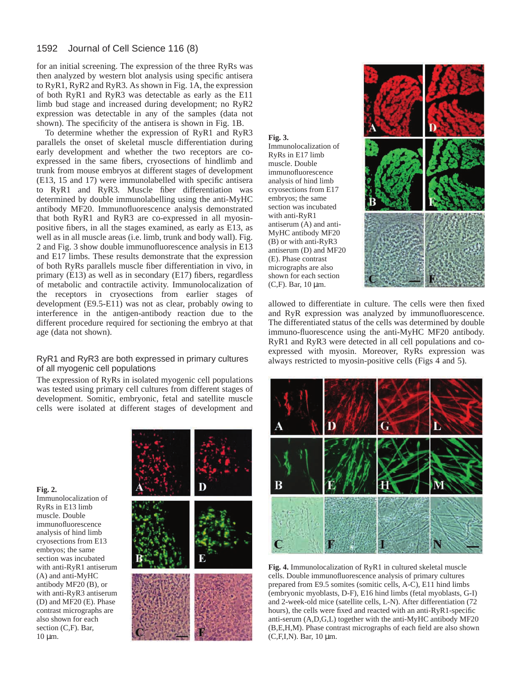#### 1592 Journal of Cell Science 116 (8)

for an initial screening. The expression of the three RyRs was then analyzed by western blot analysis using specific antisera to RyR1, RyR2 and RyR3. As shown in Fig. 1A, the expression of both RyR1 and RyR3 was detectable as early as the E11 limb bud stage and increased during development; no RyR2 expression was detectable in any of the samples (data not shown). The specificity of the antisera is shown in Fig. 1B.

To determine whether the expression of RyR1 and RyR3 parallels the onset of skeletal muscle differentiation during early development and whether the two receptors are coexpressed in the same fibers, cryosections of hindlimb and trunk from mouse embryos at different stages of development (E13, 15 and 17) were immunolabelled with specific antisera to RyR1 and RyR3*.* Muscle fiber differentiation was determined by double immunolabelling using the anti-MyHC antibody MF20. Immunofluorescence analysis demonstrated that both RyR1 and RyR3 are co-expressed in all myosinpositive fibers, in all the stages examined, as early as E13, as well as in all muscle areas (i.e. limb, trunk and body wall). Fig. 2 and Fig. 3 show double immunofluorescence analysis in E13 and E17 limbs. These results demonstrate that the expression of both RyRs parallels muscle fiber differentiation in vivo, in primary (E13) as well as in secondary (E17) fibers, regardless of metabolic and contractile activity. Immunolocalization of the receptors in cryosections from earlier stages of development (E9.5-E11) was not as clear, probably owing to interference in the antigen-antibody reaction due to the different procedure required for sectioning the embryo at that age (data not shown).

## RyR1 and RyR3 are both expressed in primary cultures of all myogenic cell populations

The expression of RyRs in isolated myogenic cell populations was tested using primary cell cultures from different stages of development. Somitic, embryonic, fetal and satellite muscle cells were isolated at different stages of development and **Fig. 3.**

Immunolocalization of RyRs in E17 limb muscle. Double immunofluorescence analysis of hind limb cryosections from E17 embryos; the same section was incubated with anti-RyR1 antiserum (A) and anti-MyHC antibody MF20 (B) or with anti-RyR3 antiserum (D) and MF20 (E). Phase contrast micrographs are also shown for each section  $(C,F)$ . Bar, 10 µm.



allowed to differentiate in culture. The cells were then fixed and RyR expression was analyzed by immunofluorescence. The differentiated status of the cells was determined by double immuno-fluorescence using the anti-MyHC MF20 antibody. RyR1 and RyR3 were detected in all cell populations and coexpressed with myosin. Moreover, RyRs expression was always restricted to myosin-positive cells (Figs 4 and 5).



**Fig. 4.** Immunolocalization of RyR1 in cultured skeletal muscle cells. Double immunofluorescence analysis of primary cultures prepared from E9.5 somites (somitic cells, A-C), E11 hind limbs (embryonic myoblasts, D-F), E16 hind limbs (fetal myoblasts, G-I) and 2-week-old mice (satellite cells, L-N). After differentiation (72 hours), the cells were fixed and reacted with an anti-RyR1-specific anti-serum (A,D,G,L) together with the anti-MyHC antibody MF20 (B,E,H,M). Phase contrast micrographs of each field are also shown (C,F,I,N). Bar, 10 µm.

**Fig. 2.**

Immunolocalization of RyRs in E13 limb muscle. Double immunofluorescence analysis of hind limb cryosections from E13 embryos; the same section was incubated with anti-RyR1 antiserum (A) and anti-MyHC antibody MF20 (B), or with anti-RyR3 antiserum (D) and MF20 (E). Phase contrast micrographs are also shown for each section (C,F). Bar, 10 µm.

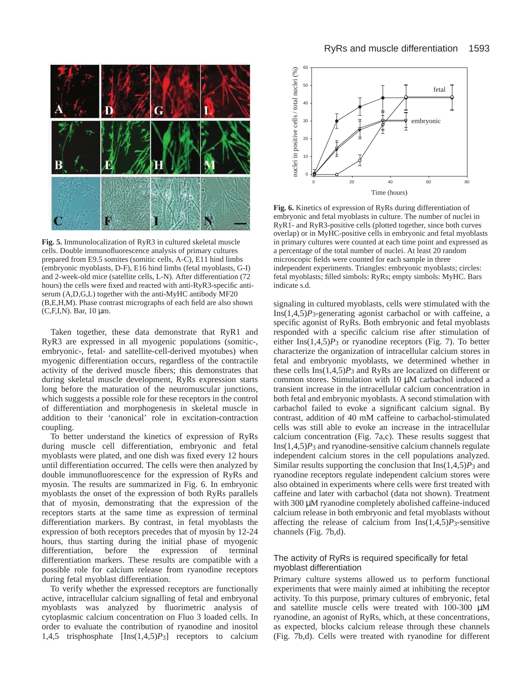

**Fig. 5.** Immunolocalization of RyR3 in cultured skeletal muscle cells. Double immunofluorescence analysis of primary cultures prepared from E9.5 somites (somitic cells, A-C), E11 hind limbs (embryonic myoblasts, D-F), E16 hind limbs (fetal myoblasts, G-I) and 2-week-old mice (satellite cells, L-N). After differentiation (72 hours) the cells were fixed and reacted with anti-RyR3-specific antiserum (A,D,G,L) together with the anti-MyHC antibody MF20 (B,E,H,M). Phase contrast micrographs of each field are also shown  $(C, F, I, N)$ . Bar, 10 µm.

Taken together, these data demonstrate that RyR1 and RyR3 are expressed in all myogenic populations (somitic-, embryonic-, fetal- and satellite-cell-derived myotubes) when myogenic differentiation occurs, regardless of the contractile activity of the derived muscle fibers; this demonstrates that during skeletal muscle development, RyRs expression starts long before the maturation of the neuromuscular junctions, which suggests a possible role for these receptors in the control of differentiation and morphogenesis in skeletal muscle in addition to their 'canonical' role in excitation-contraction coupling.

To better understand the kinetics of expression of RyRs during muscle cell differentiation, embryonic and fetal myoblasts were plated, and one dish was fixed every 12 hours until differentiation occurred. The cells were then analyzed by double immunofluorescence for the expression of RyRs and myosin. The results are summarized in Fig. 6. In embryonic myoblasts the onset of the expression of both RyRs parallels that of myosin, demonstrating that the expression of the receptors starts at the same time as expression of terminal differentiation markers. By contrast, in fetal myoblasts the expression of both receptors precedes that of myosin by 12-24 hours, thus starting during the initial phase of myogenic differentiation, before the expression of terminal differentiation markers. These results are compatible with a possible role for calcium release from ryanodine receptors during fetal myoblast differentiation.

To verify whether the expressed receptors are functionally active, intracellular calcium signalling of fetal and embryonal myoblasts was analyzed by fluorimetric analysis of cytoplasmic calcium concentration on Fluo 3 loaded cells. In order to evaluate the contribution of ryanodine and inositol 1,4,5 trisphosphate [Ins(1,4,5)*P*3] receptors to calcium



**Fig. 6.** Kinetics of expression of RyRs during differentiation of embryonic and fetal myoblasts in culture. The number of nuclei in RyR1- and RyR3-positive cells (plotted together, since both curves overlap) or in MyHC-positive cells in embryonic and fetal myoblasts in primary cultures were counted at each time point and expressed as a percentage of the total number of nuclei. At least 20 random microscopic fields were counted for each sample in three independent experiments. Triangles: embryonic myoblasts; circles: fetal myoblasts; filled simbols: RyRs; empty simbols: MyHC. Bars indicate s.d.

signaling in cultured myoblasts, cells were stimulated with the Ins(1,4,5)*P*3-generating agonist carbachol or with caffeine, a specific agonist of RyRs. Both embryonic and fetal myoblasts responded with a specific calcium rise after stimulation of either  $\text{Ins}(1,4,5)P_3$  or ryanodine receptors (Fig. 7). To better characterize the organization of intracellular calcium stores in fetal and embryonic myoblasts, we determined whether in these cells  $Ins(1,4,5)P_3$  and RyRs are localized on different or common stores. Stimulation with 10 µM carbachol induced a transient increase in the intracellular calcium concentration in both fetal and embryonic myoblasts. A second stimulation with carbachol failed to evoke a significant calcium signal. By contrast, addition of 40 mM caffeine to carbachol-stimulated cells was still able to evoke an increase in the intracellular calcium concentration (Fig. 7a,c). These results suggest that Ins(1,4,5)*P*3 and ryanodine-sensitive calcium channels regulate independent calcium stores in the cell populations analyzed. Similar results supporting the conclusion that  $\text{Ins}(1,4,5)P_3$  and ryanodine receptors regulate independent calcium stores were also obtained in experiments where cells were first treated with caffeine and later with carbachol (data not shown). Treatment with 300  $\mu$ M ryanodine completely abolished caffeine-induced calcium release in both embryonic and fetal myoblasts without affecting the release of calcium from  $\text{Ins}(1,4,5)P_3$ -sensitive channels (Fig. 7b,d).

## The activity of RyRs is required specifically for fetal myoblast differentiation

Primary culture systems allowed us to perform functional experiments that were mainly aimed at inhibiting the receptor activity. To this purpose, primary cultures of embryonic, fetal and satellite muscle cells were treated with  $100-300 \mu M$ ryanodine, an agonist of RyRs*,* which, at these concentrations, as expected, blocks calcium release through these channels (Fig. 7b,d). Cells were treated with ryanodine for different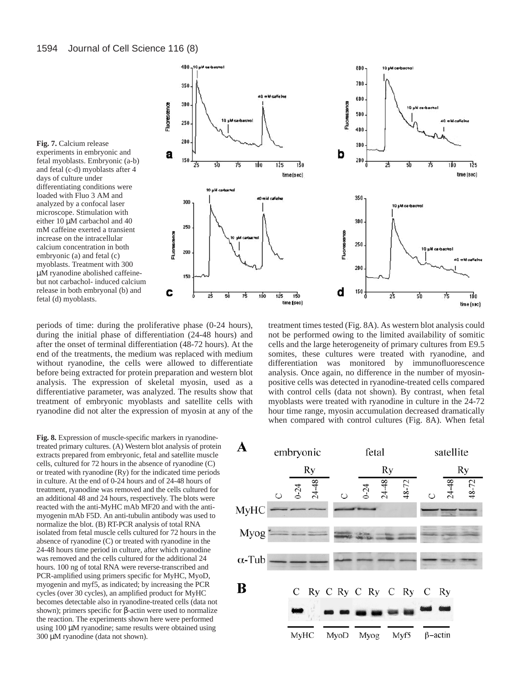



periods of time: during the proliferative phase (0-24 hours), during the initial phase of differentiation (24-48 hours) and after the onset of terminal differentiation (48-72 hours). At the end of the treatments, the medium was replaced with medium without ryanodine, the cells were allowed to differentiate before being extracted for protein preparation and western blot analysis. The expression of skeletal myosin, used as a differentiative parameter, was analyzed. The results show that treatment of embryonic myoblasts and satellite cells with ryanodine did not alter the expression of myosin at any of the

**Fig. 8.** Expression of muscle-specific markers in ryanodinetreated primary cultures. (A) Western blot analysis of protein extracts prepared from embryonic, fetal and satellite muscle cells, cultured for 72 hours in the absence of ryanodine (C) or treated with ryanodine (Ry) for the indicated time periods in culture. At the end of 0-24 hours and of 24-48 hours of treatment, ryanodine was removed and the cells cultured for an additional 48 and 24 hours, respectively. The blots were reacted with the anti-MyHC mAb MF20 and with the antimyogenin mAb F5D. An anti-tubulin antibody was used to normalize the blot. (B) RT-PCR analysis of total RNA isolated from fetal muscle cells cultured for 72 hours in the absence of ryanodine (C) or treated with ryanodine in the 24-48 hours time period in culture, after which ryanodine was removed and the cells cultured for the additional 24 hours. 100 ng of total RNA were reverse-transcribed and PCR-amplified using primers specific for MyHC, MyoD, myogenin and myf5, as indicated; by increasing the PCR cycles (over 30 cycles), an amplified product for MyHC becomes detectable also in ryanodine-treated cells (data not shown); primers specific for β-actin were used to normalize the reaction. The experiments shown here were performed using 100 µM ryanodine; same results were obtained using 300 µM ryanodine (data not shown).

treatment times tested (Fig. 8A). As western blot analysis could not be performed owing to the limited availability of somitic cells and the large heterogeneity of primary cultures from E9.5 somites, these cultures were treated with ryanodine, and differentiation was monitored by immunofluorescence analysis. Once again, no difference in the number of myosinpositive cells was detected in ryanodine-treated cells compared with control cells (data not shown). By contrast, when fetal myoblasts were treated with ryanodine in culture in the 24-72 hour time range, myosin accumulation decreased dramatically when compared with control cultures (Fig. 8A). When fetal

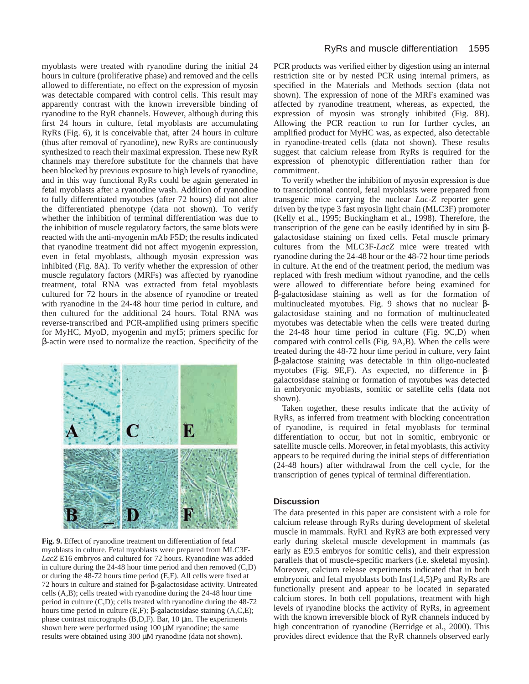myoblasts were treated with ryanodine during the initial 24 hours in culture (proliferative phase) and removed and the cells allowed to differentiate, no effect on the expression of myosin was detectable compared with control cells. This result may apparently contrast with the known irreversible binding of ryanodine to the RyR channels. However, although during this first 24 hours in culture, fetal myoblasts are accumulating RyRs (Fig. 6), it is conceivable that, after 24 hours in culture (thus after removal of ryanodine), new RyRs are continuously synthesized to reach their maximal expression. These new RyR channels may therefore substitute for the channels that have been blocked by previous exposure to high levels of ryanodine, and in this way functional RyRs could be again generated in fetal myoblasts after a ryanodine wash. Addition of ryanodine to fully differentiated myotubes (after 72 hours) did not alter the differentiated phenotype (data not shown). To verify whether the inhibition of terminal differentiation was due to the inhibition of muscle regulatory factors, the same blots were reacted with the anti-myogenin mAb F5D; the results indicated that ryanodine treatment did not affect myogenin expression, even in fetal myoblasts, although myosin expression was inhibited (Fig. 8A). To verify whether the expression of other muscle regulatory factors (MRFs) was affected by ryanodine treatment, total RNA was extracted from fetal myoblasts cultured for 72 hours in the absence of ryanodine or treated with ryanodine in the 24-48 hour time period in culture, and then cultured for the additional 24 hours. Total RNA was reverse-transcribed and PCR-amplified using primers specific for MyHC, MyoD, myogenin and myf5; primers specific for β-actin were used to normalize the reaction. Specificity of the



**Fig. 9.** Effect of ryanodine treatment on differentiation of fetal myoblasts in culture. Fetal myoblasts were prepared from MLC3F-*LacZ* E16 embryos and cultured for 72 hours. Ryanodine was added in culture during the 24-48 hour time period and then removed (C,D) or during the 48-72 hours time period (E,F). All cells were fixed at 72 hours in culture and stained for β-galactosidase activity. Untreated cells (A,B); cells treated with ryanodine during the 24-48 hour time period in culture (C,D); cells treated with ryanodine during the 48-72 hours time period in culture (E,F);  $\beta$ -galactosidase staining (A,C,E); phase contrast micrographs (B,D,F). Bar, 10 µm. The experiments shown here were performed using 100 µM ryanodine; the same results were obtained using 300 µM ryanodine (data not shown).

PCR products was verified either by digestion using an internal restriction site or by nested PCR using internal primers, as specified in the Materials and Methods section (data not shown). The expression of none of the MRFs examined was affected by ryanodine treatment, whereas, as expected, the expression of myosin was strongly inhibited (Fig. 8B). Allowing the PCR reaction to run for further cycles, an amplified product for MyHC was, as expected, also detectable in ryanodine-treated cells (data not shown). These results suggest that calcium release from RyRs is required for the expression of phenotypic differentiation rather than for commitment.

To verify whether the inhibition of myosin expression is due to transcriptional control, fetal myoblasts were prepared from transgenic mice carrying the nuclear *Lac-Z* reporter gene driven by the type 3 fast myosin light chain (MLC3F) promoter (Kelly et al., 1995; Buckingham et al., 1998). Therefore, the transcription of the gene can be easily identified by in situ βgalactosidase staining on fixed cells. Fetal muscle primary cultures from the MLC3F-*LacZ* mice were treated with ryanodine during the 24-48 hour or the 48-72 hour time periods in culture. At the end of the treatment period, the medium was replaced with fresh medium without ryanodine, and the cells were allowed to differentiate before being examined for β-galactosidase staining as well as for the formation of multinucleated myotubes. Fig. 9 shows that no nuclear βgalactosidase staining and no formation of multinucleated myotubes was detectable when the cells were treated during the 24-48 hour time period in culture (Fig. 9C,D) when compared with control cells (Fig. 9A,B). When the cells were treated during the 48-72 hour time period in culture, very faint β-galactose staining was detectable in thin oligo-nucleated myotubes (Fig. 9E,F). As expected, no difference in βgalactosidase staining or formation of myotubes was detected in embryonic myoblasts, somitic or satellite cells (data not shown).

Taken together, these results indicate that the activity of RyRs, as inferred from treatment with blocking concentration of ryanodine, is required in fetal myoblasts for terminal differentiation to occur, but not in somitic, embryonic or satellite muscle cells. Moreover, in fetal myoblasts, this activity appears to be required during the initial steps of differentiation (24-48 hours) after withdrawal from the cell cycle, for the transcription of genes typical of terminal differentiation.

## **Discussion**

The data presented in this paper are consistent with a role for calcium release through RyRs during development of skeletal muscle in mammals. RyR1 and RyR3 are both expressed very early during skeletal muscle development in mammals (as early as E9.5 embryos for somitic cells), and their expression parallels that of muscle-specific markers (i.e. skeletal myosin). Moreover, calcium release experiments indicated that in both embryonic and fetal myoblasts both Ins(1,4,5)*P*<sub>3</sub> and RyRs are functionally present and appear to be located in separated calcium stores. In both cell populations, treatment with high levels of ryanodine blocks the activity of RyRs, in agreement with the known irreversible block of RyR channels induced by high concentration of ryanodine (Berridge et al., 2000). This provides direct evidence that the RyR channels observed early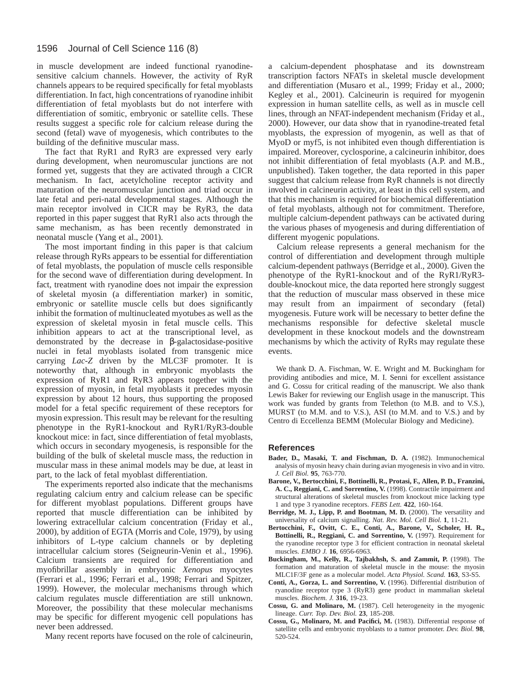in muscle development are indeed functional ryanodinesensitive calcium channels. However, the activity of RyR channels appears to be required specifically for fetal myoblasts differentiation. In fact, high concentrations of ryanodine inhibit differentiation of fetal myoblasts but do not interfere with differentiation of somitic, embryonic or satellite cells. These results suggest a specific role for calcium release during the second (fetal) wave of myogenesis, which contributes to the building of the definitive muscular mass.

The fact that RyR1 and RyR3 are expressed very early during development, when neuromuscular junctions are not formed yet, suggests that they are activated through a CICR mechanism. In fact, acetylcholine receptor activity and maturation of the neuromuscular junction and triad occur in late fetal and peri-natal developmental stages. Although the main receptor involved in CICR may be RyR3, the data reported in this paper suggest that RyR1 also acts through the same mechanism, as has been recently demonstrated in neonatal muscle (Yang et al., 2001).

The most important finding in this paper is that calcium release through RyRs appears to be essential for differentiation of fetal myoblasts, the population of muscle cells responsible for the second wave of differentiation during development. In fact, treatment with ryanodine does not impair the expression of skeletal myosin (a differentiation marker) in somitic, embryonic or satellite muscle cells but does significantly inhibit the formation of multinucleated myotubes as well as the expression of skeletal myosin in fetal muscle cells. This inhibition appears to act at the transcriptional level, as demonstrated by the decrease in β-galactosidase-positive nuclei in fetal myoblasts isolated from transgenic mice carrying *Lac-Z* driven by the MLC3F promoter. It is noteworthy that, although in embryonic myoblasts the expression of RyR1 and RyR3 appears together with the expression of myosin, in fetal myoblasts it precedes myosin expression by about 12 hours, thus supporting the proposed model for a fetal specific requirement of these receptors for myosin expression. This result may be relevant for the resulting phenotype in the RyR1-knockout and RyR1/RyR3-double knockout mice: in fact, since differentiation of fetal myoblasts, which occurs in secondary myogenesis, is responsible for the building of the bulk of skeletal muscle mass, the reduction in muscular mass in these animal models may be due, at least in part, to the lack of fetal myoblast differentiation.

The experiments reported also indicate that the mechanisms regulating calcium entry and calcium release can be specific for different myoblast populations. Different groups have reported that muscle differentiation can be inhibited by lowering extracellular calcium concentration (Friday et al., 2000), by addition of EGTA (Morris and Cole, 1979), by using inhibitors of L-type calcium channels or by depleting intracellular calcium stores (Seigneurin-Venin et al., 1996). Calcium transients are required for differentiation and myofibrillar assembly in embryonic *Xenopus* myocytes (Ferrari et al., 1996; Ferrari et al., 1998; Ferrari and Spitzer, 1999). However, the molecular mechanisms through which calcium regulates muscle differentiation are still unknown. Moreover, the possibility that these molecular mechanisms may be specific for different myogenic cell populations has never been addressed.

Many recent reports have focused on the role of calcineurin,

a calcium-dependent phosphatase and its downstream transcription factors NFATs in skeletal muscle development and differentiation (Musaro et al., 1999; Friday et al., 2000; Kegley et al., 2001). Calcineurin is required for myogenin expression in human satellite cells, as well as in muscle cell lines, through an NFAT-independent mechanism (Friday et al., 2000). However, our data show that in ryanodine-treated fetal myoblasts, the expression of myogenin, as well as that of MyoD or myf5, is not inhibited even though differentiation is impaired. Moreover, cyclosporine, a calcineurin inhibitor, does not inhibit differentiation of fetal myoblasts (A.P. and M.B., unpublished). Taken together, the data reported in this paper suggest that calcium release from RyR channels is not directly involved in calcineurin activity, at least in this cell system, and that this mechanism is required for biochemical differentiation of fetal myoblasts, although not for commitment. Therefore, multiple calcium-dependent pathways can be activated during the various phases of myogenesis and during differentiation of different myogenic populations.

Calcium release represents a general mechanism for the control of differentiation and development through multiple calcium-dependent pathways (Berridge et al., 2000). Given the phenotype of the RyR1-knockout and of the RyR1/RyR3 double-knockout mice, the data reported here strongly suggest that the reduction of muscular mass observed in these mice may result from an impairment of secondary (fetal) myogenesis. Future work will be necessary to better define the mechanisms responsible for defective skeletal muscle development in these knockout models and the downstream mechanisms by which the activity of RyRs may regulate these events.

We thank D. A. Fischman, W. E. Wright and M. Buckingham for providing antibodies and mice, M. I. Senni for excellent assistance and G. Cossu for critical reading of the manuscript. We also thank Lewis Baker for reviewing our English usage in the manuscript. This work was funded by grants from Telethon (to M.B. and to V.S.), MURST (to M.M. and to V.S.), ASI (to M.M. and to V.S.) and by Centro di Eccellenza BEMM (Molecular Biology and Medicine).

#### **References**

- **Bader, D., Masaki, T. and Fischman, D. A.** (1982). Immunochemical analysis of myosin heavy chain during avian myogenesis in vivo and in vitro. *J. Cell Biol.* **95**, 763-770.
- **Barone, V., Bertocchini, F., Bottinelli, R., Protasi, F., Allen, P. D., Franzini, A. C., Reggiani, C. and Sorrentino, V.** (1998). Contractile impairment and structural alterations of skeletal muscles from knockout mice lacking type 1 and type 3 ryanodine receptors. *FEBS Lett.* **422**, 160-164.
- **Berridge, M. J., Lipp, P. and Bootman, M. D.** (2000). The versatility and universality of calcium signalling. *Nat. Rev. Mol. Cell Biol.* **1**, 11-21.
- **Bertocchini, F., Ovitt, C. E., Conti, A., Barone, V., Scholer, H. R., Bottinelli, R., Reggiani, C. and Sorrentino, V.** (1997). Requirement for the ryanodine receptor type 3 for efficient contraction in neonatal skeletal muscles. *EMBO J.* **16**, 6956-6963.
- **Buckingham, M., Kelly, R., Tajbakhsh, S. and Zammit, P.** (1998). The formation and maturation of skeletal muscle in the mouse: the myosin MLC1F/3F gene as a molecular model. *Acta Physiol. Scand.* **163**, S3-S5.
- **Conti, A., Gorza, L. and Sorrentino, V.** (1996). Differential distribution of ryanodine receptor type 3 (RyR3) gene product in mammalian skeletal muscles. *Biochem. J.* **316**, 19-23.
- **Cossu, G. and Molinaro, M.** (1987). Cell heterogeneity in the myogenic lineage. *Curr. Top. Dev. Biol.* **23**, 185-208.
- **Cossu, G., Molinaro, M. and Pacifici, M.** (1983). Differential response of satellite cells and embryonic myoblasts to a tumor promoter. *Dev. Biol.* **98**, 520-524.